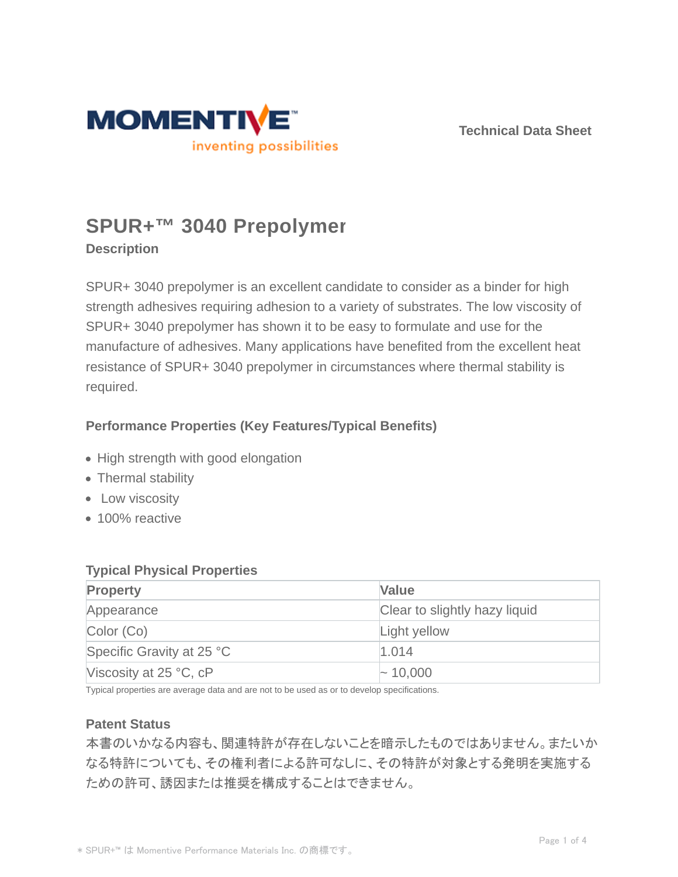

**Technical Data Sheet**

# **SPUR+™ 3040 Prepolymer**

**Description**

SPUR+ 3040 prepolymer is an excellent candidate to consider as a binder for high strength adhesives requiring adhesion to a variety of substrates. The low viscosity of SPUR+ 3040 prepolymer has shown it to be easy to formulate and use for the manufacture of adhesives. Many applications have benefited from the excellent heat resistance of SPUR+ 3040 prepolymer in circumstances where thermal stability is required.

# **Performance Properties (Key Features/Typical Benefits)**

- High strength with good elongation
- Thermal stability
- Low viscosity
- 100% reactive

## **Typical Physical Properties**

| <b>Property</b>           | <b>Value</b>                  |
|---------------------------|-------------------------------|
| Appearance                | Clear to slightly hazy liquid |
| Color (Co)                | Light yellow                  |
| Specific Gravity at 25 °C | 1.014                         |
| Viscosity at $25 °C$ , cP | $\sim$ 10,000                 |

Typical properties are average data and are not to be used as or to develop specifications.

## **Patent Status**

本書のいかなる内容も、関連特許が存在しないことを暗示したものではありません。またいか なる特許についても、その権利者による許可なしに、その特許が対象とする発明を実施する ための許可、誘因または推奨を構成することはできません。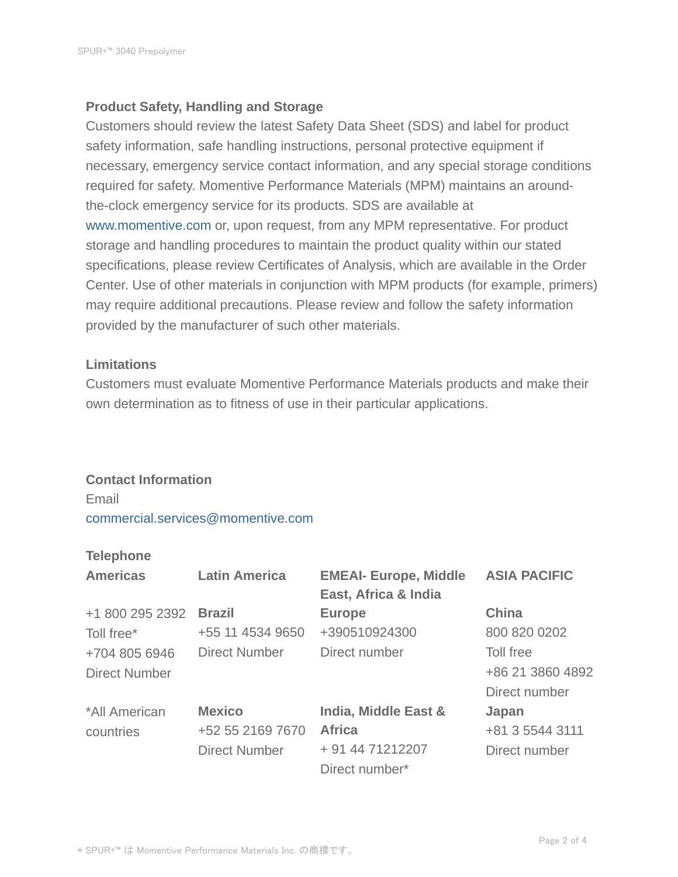#### **Product Safety, Handling and Storage**

Customers should review the latest Safety Data Sheet (SDS) and label for product safety information, safe handling instructions, personal protective equipment if necessary, emergency service contact information, and any special storage conditions required for safety. Momentive Performance Materials (MPM) maintains an aroundthe-clock emergency service for its products. SDS are available at www.momentive.com or, upon request, from any MPM representative. For product storage and handling procedures to maintain the product quality within our stated specifications, please review Certificates of Analysis, which are available in the Order Center. Use of other materials in conjunction with MPM products (for example, primers) may require additional precautions. Please review and follow the safety information provided by the manufacturer of such other materials.

#### **Limitations**

Customers must evaluate Momentive Performance Materials products and make their own determination as to fitness of use in their particular applications.

#### **Contact Information**

Email commercial.services@momentive.com

#### **Telephone**

| <b>Americas</b>      | <b>Latin America</b> | <b>EMEAI- Europe, Middle</b><br>East, Africa & India | <b>ASIA PACIFIC</b> |
|----------------------|----------------------|------------------------------------------------------|---------------------|
| +1 800 295 2392      | <b>Brazil</b>        | <b>Europe</b>                                        | <b>China</b>        |
| Toll free*           | +55 11 4534 9650     | +390510924300                                        | 800 820 0202        |
| +704 805 6946        | <b>Direct Number</b> | Direct number                                        | Toll free           |
| <b>Direct Number</b> |                      |                                                      | +86 21 3860 4892    |
|                      |                      |                                                      | Direct number       |
| *All American        | <b>Mexico</b>        | India, Middle East &                                 | Japan               |
| countries            | +52 55 2169 7670     | <b>Africa</b>                                        | +81 3 5544 3111     |
|                      | <b>Direct Number</b> | + 91 44 71212207                                     | Direct number       |
|                      |                      | Direct number*                                       |                     |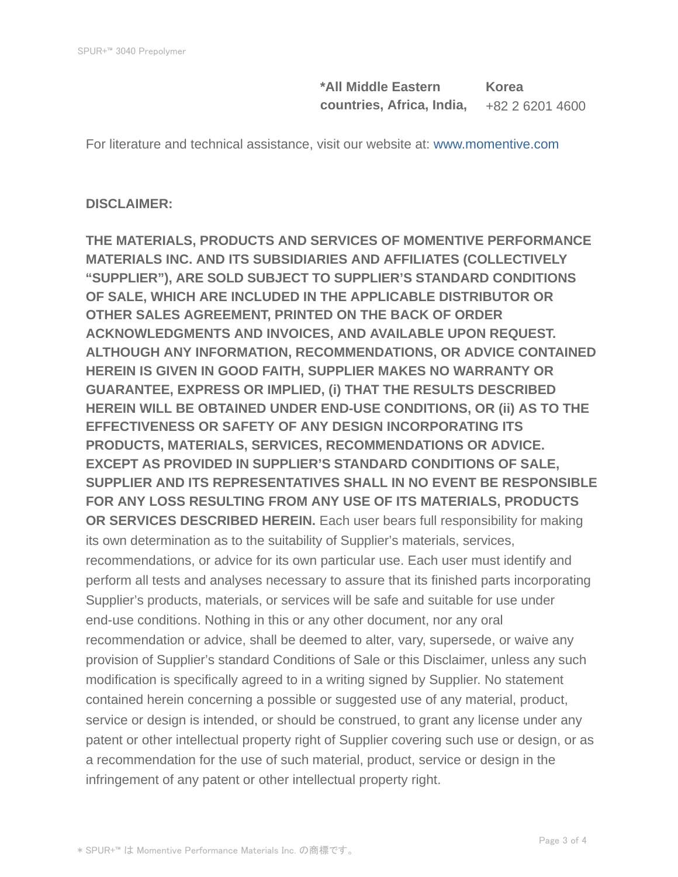**\*All Middle Eastern countries, Africa, India, Korea** +82 2 6201 4600

For literature and technical assistance, visit our website at: www.momentive.com

#### **DISCLAIMER:**

**THE MATERIALS, PRODUCTS AND SERVICES OF MOMENTIVE PERFORMANCE MATERIALS INC. AND ITS SUBSIDIARIES AND AFFILIATES (COLLECTIVELY "SUPPLIER"), ARE SOLD SUBJECT TO SUPPLIER'S STANDARD CONDITIONS OF SALE, WHICH ARE INCLUDED IN THE APPLICABLE DISTRIBUTOR OR OTHER SALES AGREEMENT, PRINTED ON THE BACK OF ORDER ACKNOWLEDGMENTS AND INVOICES, AND AVAILABLE UPON REQUEST. ALTHOUGH ANY INFORMATION, RECOMMENDATIONS, OR ADVICE CONTAINED HEREIN IS GIVEN IN GOOD FAITH, SUPPLIER MAKES NO WARRANTY OR GUARANTEE, EXPRESS OR IMPLIED, (i) THAT THE RESULTS DESCRIBED HEREIN WILL BE OBTAINED UNDER END-USE CONDITIONS, OR (ii) AS TO THE EFFECTIVENESS OR SAFETY OF ANY DESIGN INCORPORATING ITS PRODUCTS, MATERIALS, SERVICES, RECOMMENDATIONS OR ADVICE. EXCEPT AS PROVIDED IN SUPPLIER'S STANDARD CONDITIONS OF SALE, SUPPLIER AND ITS REPRESENTATIVES SHALL IN NO EVENT BE RESPONSIBLE FOR ANY LOSS RESULTING FROM ANY USE OF ITS MATERIALS, PRODUCTS OR SERVICES DESCRIBED HEREIN.** Each user bears full responsibility for making its own determination as to the suitability of Supplier's materials, services, recommendations, or advice for its own particular use. Each user must identify and perform all tests and analyses necessary to assure that its finished parts incorporating Supplier's products, materials, or services will be safe and suitable for use under end-use conditions. Nothing in this or any other document, nor any oral recommendation or advice, shall be deemed to alter, vary, supersede, or waive any provision of Supplier's standard Conditions of Sale or this Disclaimer, unless any such modification is specifically agreed to in a writing signed by Supplier. No statement contained herein concerning a possible or suggested use of any material, product, service or design is intended, or should be construed, to grant any license under any patent or other intellectual property right of Supplier covering such use or design, or as a recommendation for the use of such material, product, service or design in the infringement of any patent or other intellectual property right.